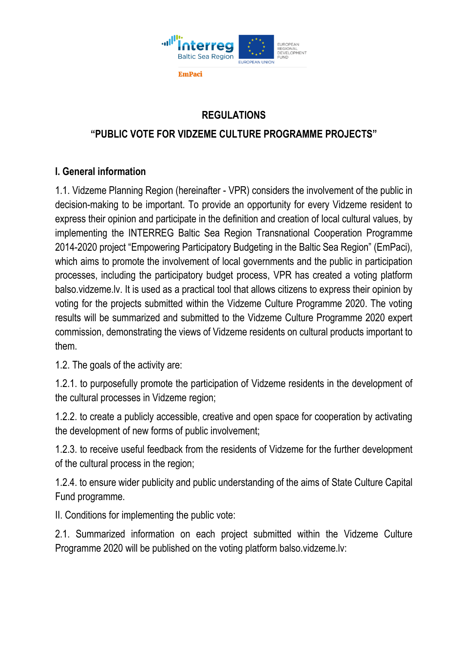

## **REGULATIONS**

## **"PUBLIC VOTE FOR VIDZEME CULTURE PROGRAMME PROJECTS"**

## **I. General information**

1.1. Vidzeme Planning Region (hereinafter - VPR) considers the involvement of the public in decision-making to be important. To provide an opportunity for every Vidzeme resident to express their opinion and participate in the definition and creation of local cultural values, by implementing the INTERREG Baltic Sea Region Transnational Cooperation Programme 2014-2020 project "Empowering Participatory Budgeting in the Baltic Sea Region" (EmPaci), which aims to promote the involvement of local governments and the public in participation processes, including the participatory budget process, VPR has created a voting platform balso.vidzeme.lv. It is used as a practical tool that allows citizens to express their opinion by voting for the projects submitted within the Vidzeme Culture Programme 2020. The voting results will be summarized and submitted to the Vidzeme Culture Programme 2020 expert commission, demonstrating the views of Vidzeme residents on cultural products important to them.

1.2. The goals of the activity are:

1.2.1. to purposefully promote the participation of Vidzeme residents in the development of the cultural processes in Vidzeme region;

1.2.2. to create a publicly accessible, creative and open space for cooperation by activating the development of new forms of public involvement;

1.2.3. to receive useful feedback from the residents of Vidzeme for the further development of the cultural process in the region;

1.2.4. to ensure wider publicity and public understanding of the aims of State Culture Capital Fund programme.

II. Conditions for implementing the public vote:

2.1. Summarized information on each project submitted within the Vidzeme Culture Programme 2020 will be published on the voting platform balso.vidzeme.lv: